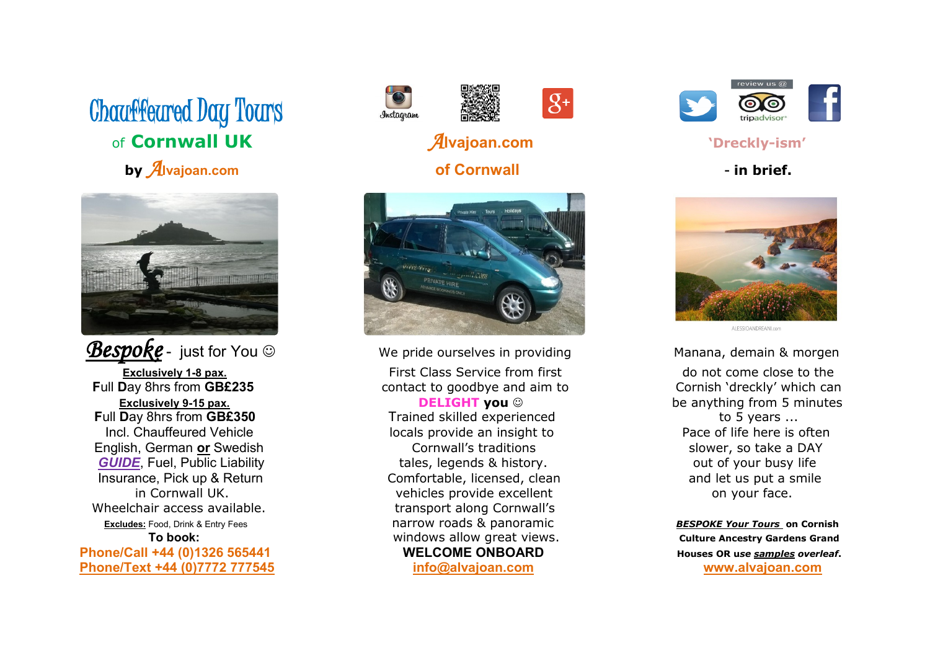



**Bespoke** - just for You  $\odot$  **We pride ourselves in providing Manana, demain & morgen** Wheelchair access available. The same transport along Cornwall's Phone/Call +44 (0)1326 565441 WELCOME ONBOARD **Biographs Houses** OR use samples overleaf. **Phone/Text +44 (0)7772 777545 [info@alvajoan.com](mailto:info@alvajoan.com) [www.alvajoan.com](http://www.alvajoan.com/)**



 $|8+$ 



**Exclusively 1-8 pax.** First Class Service from first do not come close to the<br>**Full Day 8hrs from GB£235** contact to goodbye and aim to cornish 'dreckly' which ca **Full contact to goodbye and aim to <b>EXACT** Cornish 'dreckly' which can **Exclusively 9-15 pax. DELIGHT you** be anything from 5 minutes **Full Day 8hrs from GB£350** Trained skilled experienced to 5 years ... Incl. Chauffeured Vehicle **incles in the set of the locals provide an insight to** Pace of life here is often English, German or Swedish **Cornwall's traditions** Cornwall Superversions slower, so take a DAY **GUIDE**, Fuel, Public Liability tales, legends & history. Insurance, Pick up & Return Comfortable, licensed, clean and let us put a smile in Cornwall UK. The state of the vehicles provide excellent on your face. **Excludes:** Food, Drink & Entry Fees narrow roads & panoramic *BESPOKE Your Tours* **on Cornish To book:** windows allow great views. **Culture Ancestry Gardens Grand**